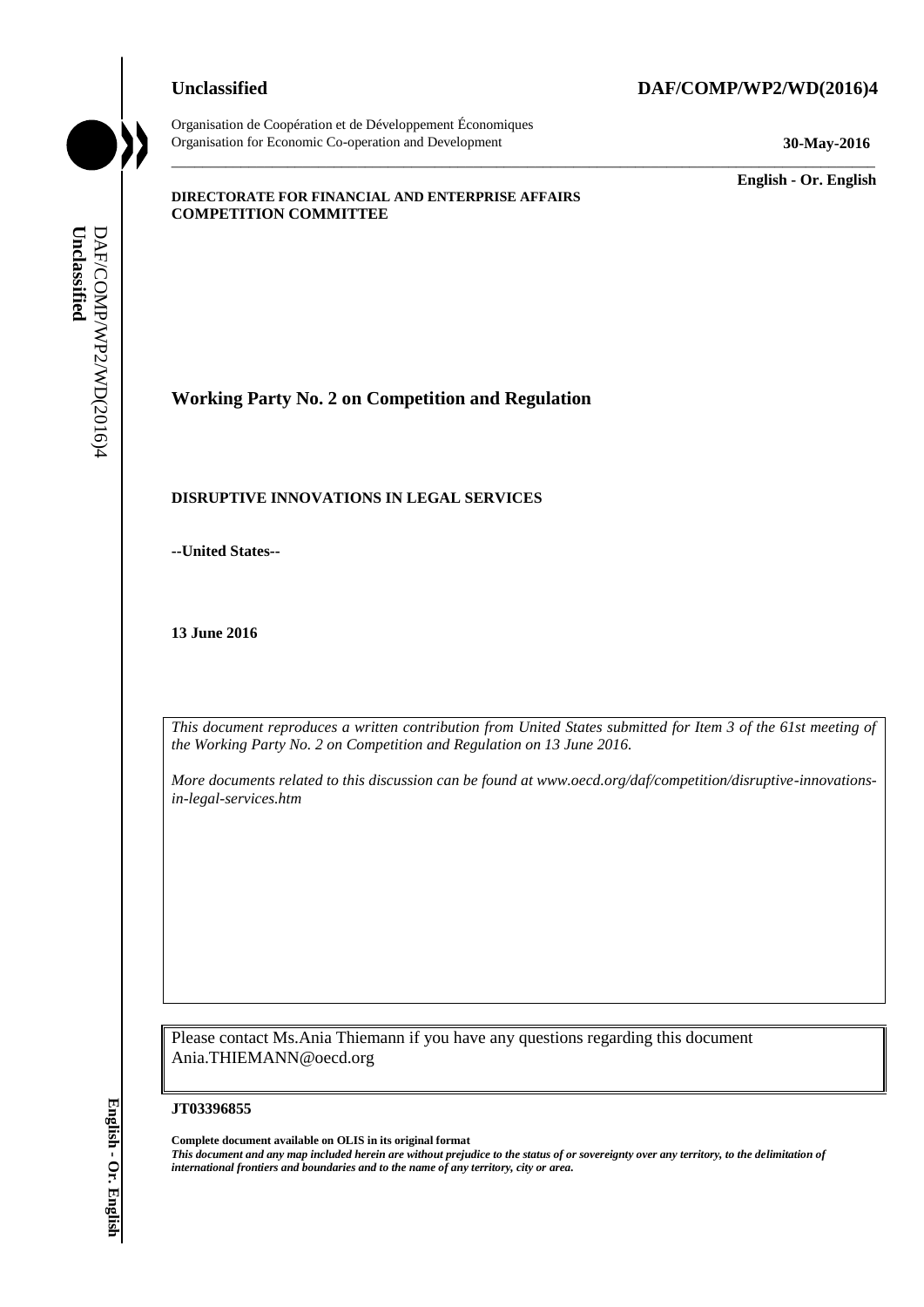Organisation de Coopération et de Développement Économiques Organisation for Economic Co-operation and Development **30-May-2016**

## **Unclassified DAF/COMP/WP2/WD(2016)4**

\_\_\_\_\_\_\_\_\_\_\_\_\_ **English - Or. English**

#### **DIRECTORATE FOR FINANCIAL AND ENTERPRISE AFFAIRS COMPETITION COMMITTEE**

**Working Party No. 2 on Competition and Regulation**

#### **DISRUPTIVE INNOVATIONS IN LEGAL SERVICES**

**--United States--**

**13 June 2016**

*This document reproduces a written contribution from United States submitted for Item 3 of the 61st meeting of the Working Party No. 2 on Competition and Regulation on 13 June 2016.* 

\_\_\_\_\_\_\_\_\_\_\_\_\_\_\_\_\_\_\_\_\_\_\_\_\_\_\_\_\_\_\_\_\_\_\_\_\_\_\_\_\_\_\_\_\_\_\_\_\_\_\_\_\_\_\_\_\_\_\_\_\_\_\_\_\_\_\_\_\_\_\_\_\_\_\_\_\_\_\_\_\_\_\_\_\_\_\_\_\_\_\_

*More documents related to this discussion can be found at www.oecd.org/daf/competition/disruptive-innovationsin-legal-services.htm*

Please contact Ms.Ania Thiemann if you have any questions regarding this document Ania.THIEMANN@oecd.org

**JT03396855**

**Complete document available on OLIS in its original format** *This document and any map included herein are without prejudice to the status of or sovereignty over any territory, to the delimitation of*  **iii** *international frontiers and boundaries and boundaries and boundaries and controllations*<br> **if**  $\frac{1}{2}$  **English - iiii iii**  $\frac{1}{2}$  **Comparison**  $\frac{1}{2}$  **Comparison**  $\frac{1}{2}$  **Comparison**  $\frac{1}{2}$  **Compa**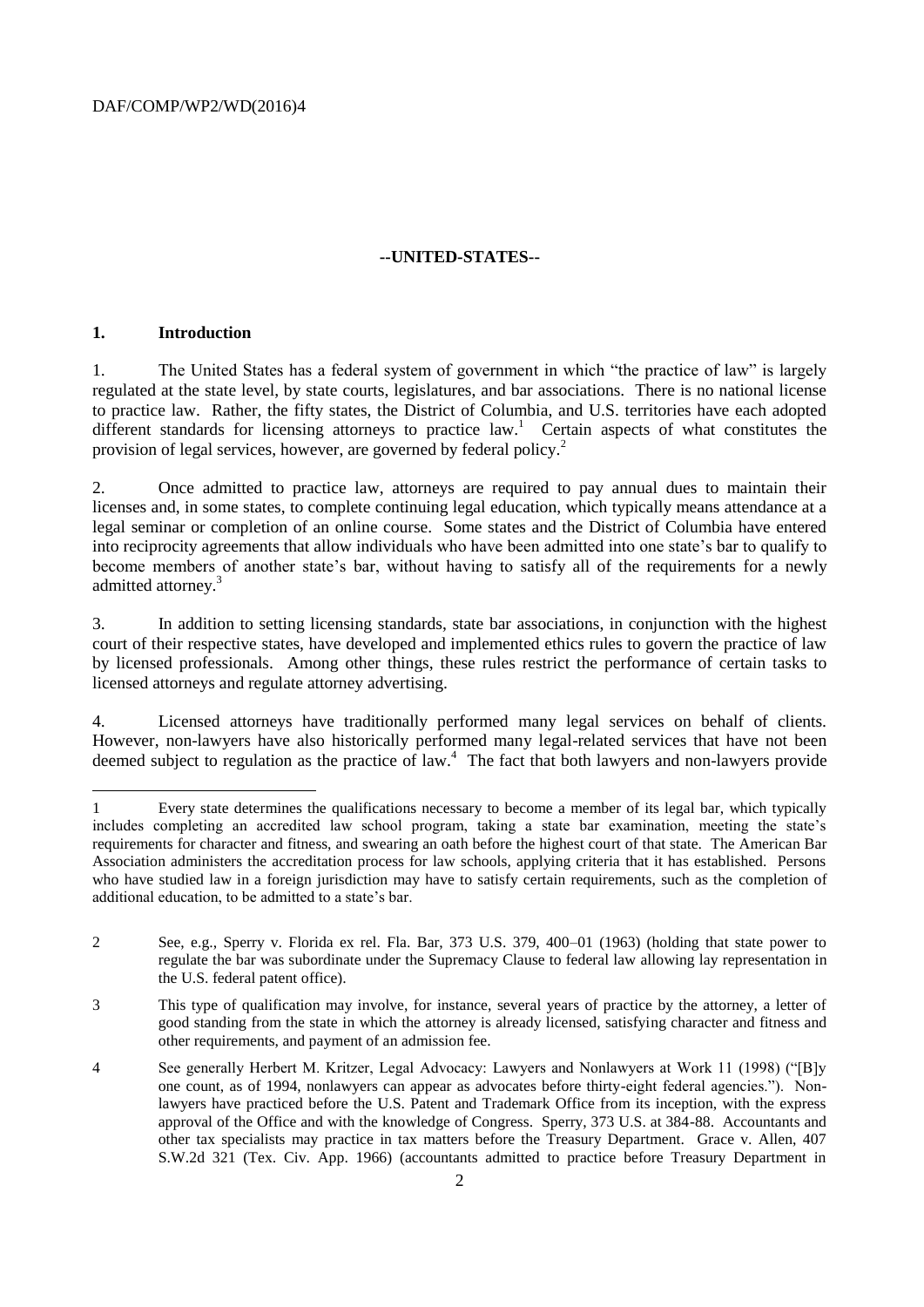#### **--UNITED-STATES--**

#### **1. Introduction**

l

1. The United States has a federal system of government in which "the practice of law" is largely regulated at the state level, by state courts, legislatures, and bar associations. There is no national license to practice law. Rather, the fifty states, the District of Columbia, and U.S. territories have each adopted different standards for licensing attorneys to practice law.<sup>1</sup> Certain aspects of what constitutes the provision of legal services, however, are governed by federal policy.<sup>2</sup>

2. Once admitted to practice law, attorneys are required to pay annual dues to maintain their licenses and, in some states, to complete continuing legal education, which typically means attendance at a legal seminar or completion of an online course. Some states and the District of Columbia have entered into reciprocity agreements that allow individuals who have been admitted into one state's bar to qualify to become members of another state's bar, without having to satisfy all of the requirements for a newly admitted attorney.<sup>3</sup>

3. In addition to setting licensing standards, state bar associations, in conjunction with the highest court of their respective states, have developed and implemented ethics rules to govern the practice of law by licensed professionals. Among other things, these rules restrict the performance of certain tasks to licensed attorneys and regulate attorney advertising.

4. Licensed attorneys have traditionally performed many legal services on behalf of clients. However, non-lawyers have also historically performed many legal-related services that have not been deemed subject to regulation as the practice of law.<sup>4</sup> The fact that both lawyers and non-lawyers provide

<sup>1</sup> Every state determines the qualifications necessary to become a member of its legal bar, which typically includes completing an accredited law school program, taking a state bar examination, meeting the state's requirements for character and fitness, and swearing an oath before the highest court of that state. The American Bar Association administers the accreditation process for law schools, applying criteria that it has established. Persons who have studied law in a foreign jurisdiction may have to satisfy certain requirements, such as the completion of additional education, to be admitted to a state's bar.

<sup>2</sup> See, e.g., Sperry v. Florida ex rel. Fla. Bar, 373 U.S. 379, 400–01 (1963) (holding that state power to regulate the bar was subordinate under the Supremacy Clause to federal law allowing lay representation in the U.S. federal patent office).

<sup>3</sup> This type of qualification may involve, for instance, several years of practice by the attorney, a letter of good standing from the state in which the attorney is already licensed, satisfying character and fitness and other requirements, and payment of an admission fee.

<sup>4</sup> See generally Herbert M. Kritzer, Legal Advocacy: Lawyers and Nonlawyers at Work 11 (1998) ("[B]y one count, as of 1994, nonlawyers can appear as advocates before thirty-eight federal agencies."). Nonlawyers have practiced before the U.S. Patent and Trademark Office from its inception, with the express approval of the Office and with the knowledge of Congress. Sperry, 373 U.S. at 384-88. Accountants and other tax specialists may practice in tax matters before the Treasury Department. Grace v. Allen, 407 S.W.2d 321 (Tex. Civ. App. 1966) (accountants admitted to practice before Treasury Department in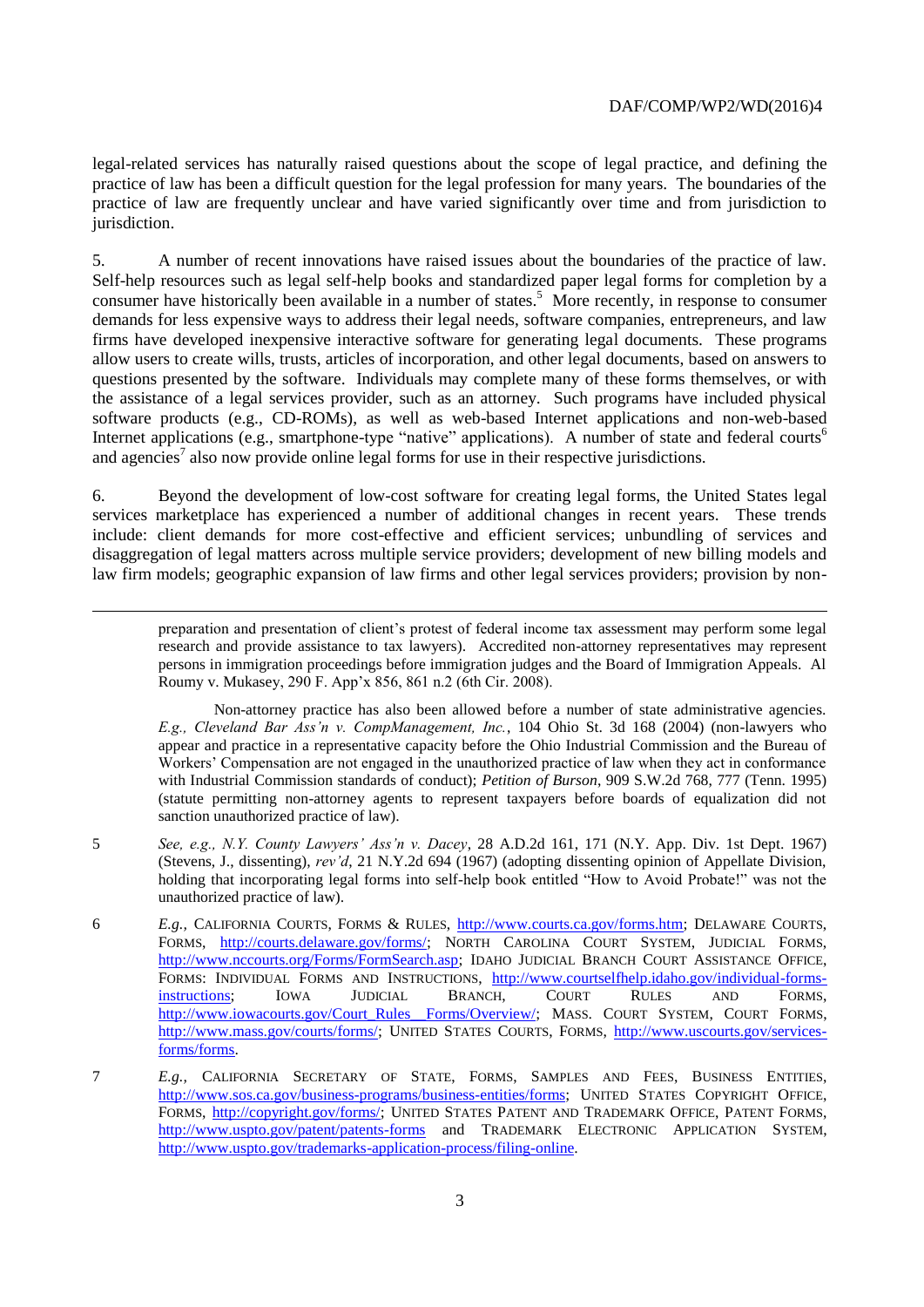legal-related services has naturally raised questions about the scope of legal practice, and defining the practice of law has been a difficult question for the legal profession for many years. The boundaries of the practice of law are frequently unclear and have varied significantly over time and from jurisdiction to jurisdiction.

5. A number of recent innovations have raised issues about the boundaries of the practice of law. Self-help resources such as legal self-help books and standardized paper legal forms for completion by a consumer have historically been available in a number of states.<sup>5</sup> More recently, in response to consumer demands for less expensive ways to address their legal needs, software companies, entrepreneurs, and law firms have developed inexpensive interactive software for generating legal documents. These programs allow users to create wills, trusts, articles of incorporation, and other legal documents, based on answers to questions presented by the software. Individuals may complete many of these forms themselves, or with the assistance of a legal services provider, such as an attorney. Such programs have included physical software products (e.g., CD-ROMs), as well as web-based Internet applications and non-web-based Internet applications (e.g., smartphone-type "native" applications). A number of state and federal courts<sup>6</sup> and agencies<sup>7</sup> also now provide online legal forms for use in their respective jurisdictions.

6. Beyond the development of low-cost software for creating legal forms, the United States legal services marketplace has experienced a number of additional changes in recent years. These trends include: client demands for more cost-effective and efficient services; unbundling of services and disaggregation of legal matters across multiple service providers; development of new billing models and law firm models; geographic expansion of law firms and other legal services providers; provision by non-

l

preparation and presentation of client's protest of federal income tax assessment may perform some legal research and provide assistance to tax lawyers). Accredited non-attorney representatives may represent persons in immigration proceedings before immigration judges and the Board of Immigration Appeals. Al Roumy v. Mukasey, 290 F. App'x 856, 861 n.2 (6th Cir. 2008).

Non-attorney practice has also been allowed before a number of state administrative agencies. *E.g., Cleveland Bar Ass'n v. CompManagement, Inc.*, 104 Ohio St. 3d 168 (2004) (non-lawyers who appear and practice in a representative capacity before the Ohio Industrial Commission and the Bureau of Workers' Compensation are not engaged in the unauthorized practice of law when they act in conformance with Industrial Commission standards of conduct); *Petition of Burson*, 909 S.W.2d 768, 777 (Tenn. 1995) (statute permitting non-attorney agents to represent taxpayers before boards of equalization did not sanction unauthorized practice of law).

- 5 *See, e.g., N.Y. County Lawyers' Ass'n v. Dacey*, 28 A.D.2d 161, 171 (N.Y. App. Div. 1st Dept. 1967) (Stevens, J., dissenting), *rev'd*, 21 N.Y.2d 694 (1967) (adopting dissenting opinion of Appellate Division, holding that incorporating legal forms into self-help book entitled "How to Avoid Probate!" was not the unauthorized practice of law).
- 6 *E.g.,* CALIFORNIA COURTS, FORMS & RULES, [http://www.courts.ca.gov/forms.htm;](http://www.courts.ca.gov/forms.htm) DELAWARE COURTS, FORMS, [http://courts.delaware.gov/forms/;](http://courts.delaware.gov/forms/) NORTH CAROLINA COURT SYSTEM, JUDICIAL FORMS, [http://www.nccourts.org/Forms/FormSearch.asp;](http://www.nccourts.org/Forms/FormSearch.asp) IDAHO JUDICIAL BRANCH COURT ASSISTANCE OFFICE, FORMS: INDIVIDUAL FORMS AND INSTRUCTIONS, [http://www.courtselfhelp.idaho.gov/individual-forms](http://www.courtselfhelp.idaho.gov/individual-forms-instructions)[instructions;](http://www.courtselfhelp.idaho.gov/individual-forms-instructions) IOWA JUDICIAL BRANCH, COURT RULES AND FORMS, http://www.iowacourts.gov/Court\_Rules\_Forms/Overview/; MASS. COURT SYSTEM, COURT FORMS, [http://www.mass.gov/courts/forms/;](http://www.mass.gov/courts/forms/) UNITED STATES COURTS, FORMS, [http://www.uscourts.gov/services](http://www.uscourts.gov/services-forms/forms)[forms/forms.](http://www.uscourts.gov/services-forms/forms)
- 7 *E.g.,* CALIFORNIA SECRETARY OF STATE, FORMS, SAMPLES AND FEES, BUSINESS ENTITIES, [http://www.sos.ca.gov/business-programs/business-entities/forms;](http://www.sos.ca.gov/business-programs/business-entities/forms) UNITED STATES COPYRIGHT OFFICE, FORMS, [http://copyright.gov/forms/;](http://copyright.gov/forms/) UNITED STATES PATENT AND TRADEMARK OFFICE, PATENT FORMS, <http://www.uspto.gov/patent/patents-forms> and TRADEMARK ELECTRONIC APPLICATION SYSTEM, [http://www.uspto.gov/trademarks-application-process/filing-online.](http://www.uspto.gov/trademarks-application-process/filing-online)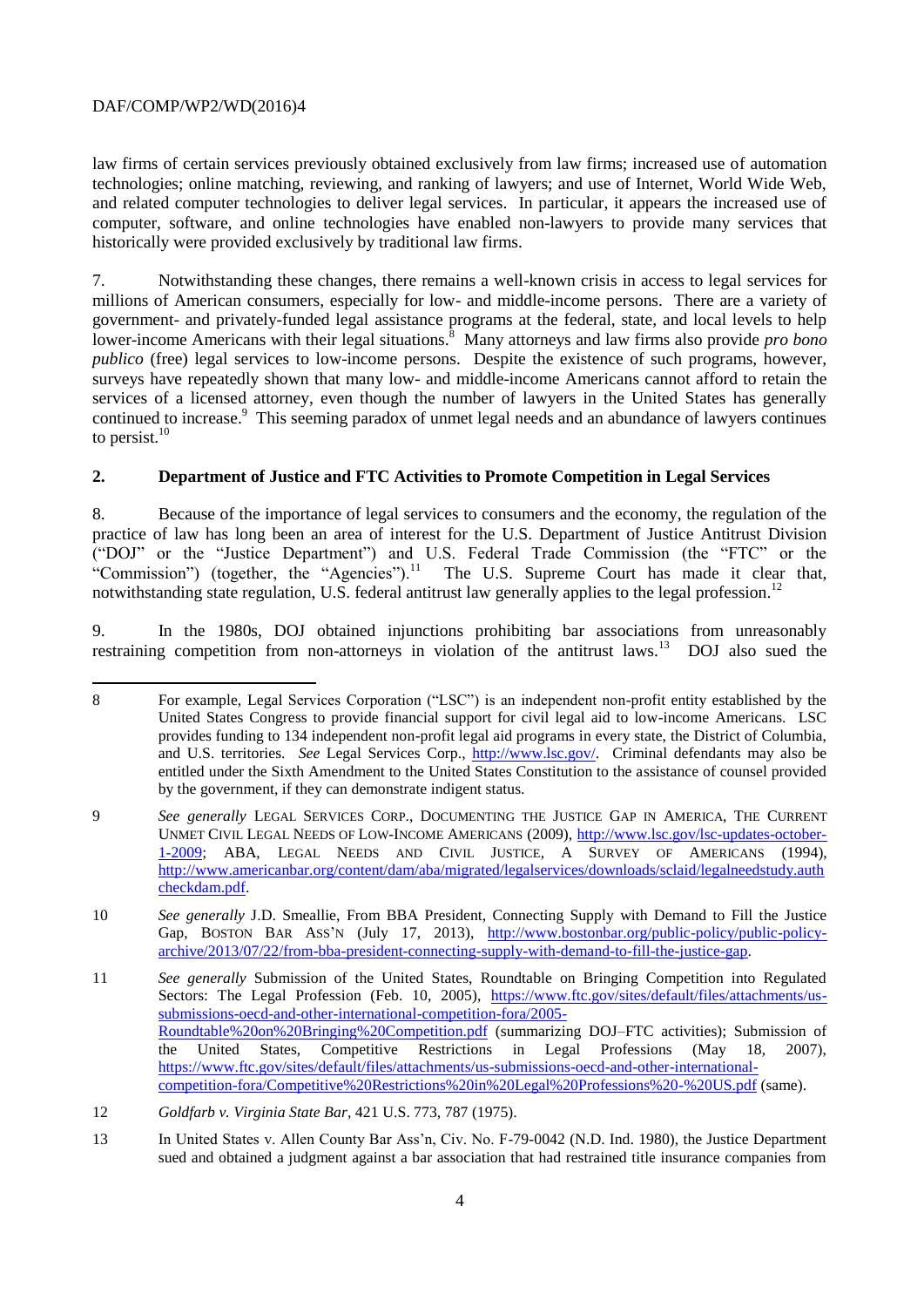l

law firms of certain services previously obtained exclusively from law firms; increased use of automation technologies; online matching, reviewing, and ranking of lawyers; and use of Internet, World Wide Web, and related computer technologies to deliver legal services. In particular, it appears the increased use of computer, software, and online technologies have enabled non-lawyers to provide many services that historically were provided exclusively by traditional law firms.

7. Notwithstanding these changes, there remains a well-known crisis in access to legal services for millions of American consumers, especially for low- and middle-income persons. There are a variety of government- and privately-funded legal assistance programs at the federal, state, and local levels to help lower-income Americans with their legal situations.<sup>8</sup> Many attorneys and law firms also provide *pro bono publico* (free) legal services to low-income persons. Despite the existence of such programs, however, surveys have repeatedly shown that many low- and middle-income Americans cannot afford to retain the services of a licensed attorney, even though the number of lawyers in the United States has generally continued to increase.<sup>9</sup> This seeming paradox of unmet legal needs and an abundance of lawyers continues to persist. $10$ 

## **2. Department of Justice and FTC Activities to Promote Competition in Legal Services**

8. Because of the importance of legal services to consumers and the economy, the regulation of the practice of law has long been an area of interest for the U.S. Department of Justice Antitrust Division ("DOJ" or the "Justice Department") and U.S. Federal Trade Commission (the "FTC" or the "Commission") (together, the "Agencies").<sup>11</sup> The U.S. Supreme Court has made it clear that, notwithstanding state regulation, U.S. federal antitrust law generally applies to the legal profession.<sup>12</sup>

9. In the 1980s, DOJ obtained injunctions prohibiting bar associations from unreasonably restraining competition from non-attorneys in violation of the antitrust laws.<sup>13</sup> DOJ also sued the

<sup>8</sup> For example, Legal Services Corporation ("LSC") is an independent non-profit entity established by the United States Congress to provide financial support for civil legal aid to low-income Americans. LSC provides funding to 134 independent non-profit legal aid programs in every state, the District of Columbia, and U.S. territories. *See* Legal Services Corp., [http://www.lsc.gov/.](http://www.lsc.gov/) Criminal defendants may also be entitled under the Sixth Amendment to the United States Constitution to the assistance of counsel provided by the government, if they can demonstrate indigent status.

<sup>9</sup> *See generally* LEGAL SERVICES CORP., DOCUMENTING THE JUSTICE GAP IN AMERICA, THE CURRENT UNMET CIVIL LEGAL NEEDS OF LOW-INCOME AMERICANS (2009), [http://www.lsc.gov/lsc-updates-october-](http://www.lsc.gov/lsc-updates-october-1-2009)[1-2009;](http://www.lsc.gov/lsc-updates-october-1-2009) ABA, LEGAL NEEDS AND CIVIL JUSTICE, A SURVEY OF AMERICANS (1994), [http://www.americanbar.org/content/dam/aba/migrated/legalservices/downloads/sclaid/legalneedstudy.auth](http://www.americanbar.org/content/dam/aba/migrated/legalservices/downloads/sclaid/legalneedstudy.authcheckdam.pdf) [checkdam.pdf.](http://www.americanbar.org/content/dam/aba/migrated/legalservices/downloads/sclaid/legalneedstudy.authcheckdam.pdf)

<sup>10</sup> *See generally* J.D. Smeallie, From BBA President, Connecting Supply with Demand to Fill the Justice Gap, BOSTON BAR ASS'N (July 17, 2013), [http://www.bostonbar.org/public-policy/public-policy](http://www.bostonbar.org/public-policy/public-policy-archive/2013/07/22/from-bba-president-connecting-supply-with-demand-to-fill-the-justice-gap)[archive/2013/07/22/from-bba-president-connecting-supply-with-demand-to-fill-the-justice-gap.](http://www.bostonbar.org/public-policy/public-policy-archive/2013/07/22/from-bba-president-connecting-supply-with-demand-to-fill-the-justice-gap)

<sup>11</sup> *See generally* Submission of the United States, Roundtable on Bringing Competition into Regulated Sectors: The Legal Profession (Feb. 10, 2005), [https://www.ftc.gov/sites/default/files/attachments/us](https://www.ftc.gov/sites/default/files/attachments/us-submissions-oecd-and-other-international-competition-fora/2005-Roundtable%20on%20Bringing%20Competition.pdf)[submissions-oecd-and-other-international-competition-fora/2005-](https://www.ftc.gov/sites/default/files/attachments/us-submissions-oecd-and-other-international-competition-fora/2005-Roundtable%20on%20Bringing%20Competition.pdf) [Roundtable%20on%20Bringing%20Competition.pdf](https://www.ftc.gov/sites/default/files/attachments/us-submissions-oecd-and-other-international-competition-fora/2005-Roundtable%20on%20Bringing%20Competition.pdf) (summarizing DOJ–FTC activities); Submission of the United States, Competitive Restrictions in Legal Professions (May 18, 2007), [https://www.ftc.gov/sites/default/files/attachments/us-submissions-oecd-and-other-international](https://www.ftc.gov/sites/default/files/attachments/us-submissions-oecd-and-other-international-competition-fora/Competitive%20Restrictions%20in%20Legal%20Professions%20-%20US.pdf)[competition-fora/Competitive%20Restrictions%20in%20Legal%20Professions%20-%20US.pdf](https://www.ftc.gov/sites/default/files/attachments/us-submissions-oecd-and-other-international-competition-fora/Competitive%20Restrictions%20in%20Legal%20Professions%20-%20US.pdf) (same).

<sup>12</sup> *Goldfarb v. Virginia State Bar*, 421 U.S. 773, 787 (1975).

<sup>13</sup> In United States v. Allen County Bar Ass'n, Civ. No. F-79-0042 (N.D. Ind. 1980), the Justice Department sued and obtained a judgment against a bar association that had restrained title insurance companies from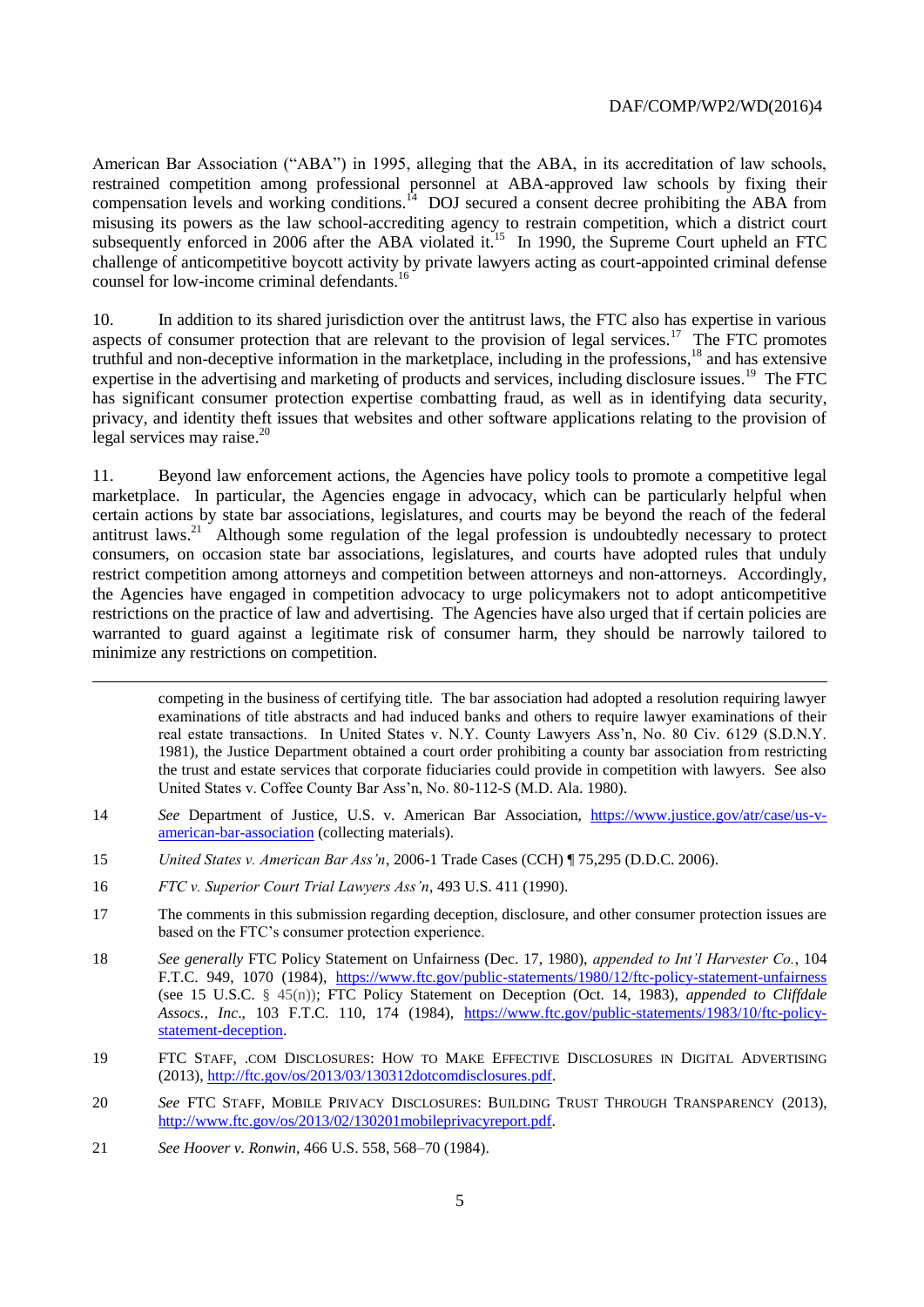American Bar Association ("ABA") in 1995, alleging that the ABA, in its accreditation of law schools, restrained competition among professional personnel at ABA-approved law schools by fixing their compensation levels and working conditions. $^{14}$  DOJ secured a consent decree prohibiting the ABA from misusing its powers as the law school-accrediting agency to restrain competition, which a district court subsequently enforced in 2006 after the ABA violated it.<sup>15</sup> In 1990, the Supreme Court upheld an FTC challenge of anticompetitive boycott activity by private lawyers acting as court-appointed criminal defense counsel for low-income criminal defendants.<sup>16</sup>

10. In addition to its shared jurisdiction over the antitrust laws, the FTC also has expertise in various aspects of consumer protection that are relevant to the provision of legal services.<sup>17</sup> The FTC promotes truthful and non-deceptive information in the marketplace, including in the professions,<sup>18</sup> and has extensive expertise in the advertising and marketing of products and services, including disclosure issues.<sup>19</sup> The FTC has significant consumer protection expertise combatting fraud, as well as in identifying data security, privacy, and identity theft issues that websites and other software applications relating to the provision of legal services may raise.<sup>20</sup>

11. Beyond law enforcement actions, the Agencies have policy tools to promote a competitive legal marketplace. In particular, the Agencies engage in advocacy, which can be particularly helpful when certain actions by state bar associations, legislatures, and courts may be beyond the reach of the federal antitrust laws.<sup>21</sup> Although some regulation of the legal profession is undoubtedly necessary to protect consumers, on occasion state bar associations, legislatures, and courts have adopted rules that unduly restrict competition among attorneys and competition between attorneys and non-attorneys. Accordingly, the Agencies have engaged in competition advocacy to urge policymakers not to adopt anticompetitive restrictions on the practice of law and advertising. The Agencies have also urged that if certain policies are warranted to guard against a legitimate risk of consumer harm, they should be narrowly tailored to minimize any restrictions on competition.

competing in the business of certifying title. The bar association had adopted a resolution requiring lawyer examinations of title abstracts and had induced banks and others to require lawyer examinations of their real estate transactions. In United States v. N.Y. County Lawyers Ass'n, No. 80 Civ. 6129 (S.D.N.Y. 1981), the Justice Department obtained a court order prohibiting a county bar association from restricting the trust and estate services that corporate fiduciaries could provide in competition with lawyers. See also United States v. Coffee County Bar Ass'n, No. 80-112-S (M.D. Ala. 1980).

- 14 *See* Department of Justice, U.S. v. American Bar Association, [https://www.justice.gov/atr/case/us-v](https://www.justice.gov/atr/case/us-v-american-bar-association)[american-bar-association](https://www.justice.gov/atr/case/us-v-american-bar-association) (collecting materials).
- 15 *United States v. American Bar Ass'n*, 2006-1 Trade Cases (CCH) ¶ 75,295 (D.D.C. 2006).
- 16 *FTC v. Superior Court Trial Lawyers Ass'n*, 493 U.S. 411 (1990).

l

- 17 The comments in this submission regarding deception, disclosure, and other consumer protection issues are based on the FTC's consumer protection experience.
- 18 *See generally* FTC Policy Statement on Unfairness (Dec. 17, 1980), *appended to Int'l Harvester Co.*, 104 F.T.C. 949, 1070 (1984), <https://www.ftc.gov/public-statements/1980/12/ftc-policy-statement-unfairness> (see 15 U.S.C. § 45(n)); FTC Policy Statement on Deception (Oct. 14, 1983), *appended to Cliffdale Assocs., Inc*., 103 F.T.C. 110, 174 (1984), [https://www.ftc.gov/public-statements/1983/10/ftc-policy](https://www.ftc.gov/public-statements/1983/10/ftc-policy-statement-deception)[statement-deception.](https://www.ftc.gov/public-statements/1983/10/ftc-policy-statement-deception)
- 19 FTC STAFF, .COM DISCLOSURES: HOW TO MAKE EFFECTIVE DISCLOSURES IN DIGITAL ADVERTISING (2013)[, http://ftc.gov/os/2013/03/130312dotcomdisclosures.pdf.](http://ftc.gov/os/2013/03/130312dotcomdisclosures.pdf)
- 20 *See* FTC STAFF, MOBILE PRIVACY DISCLOSURES: BUILDING TRUST THROUGH TRANSPARENCY (2013), [http://www.ftc.gov/os/2013/02/130201mobileprivacyreport.pdf.](http://www.ftc.gov/os/2013/02/130201mobileprivacyreport.pdf)
- 21 *See Hoover v. Ronwin*, 466 U.S. 558, 568–70 (1984).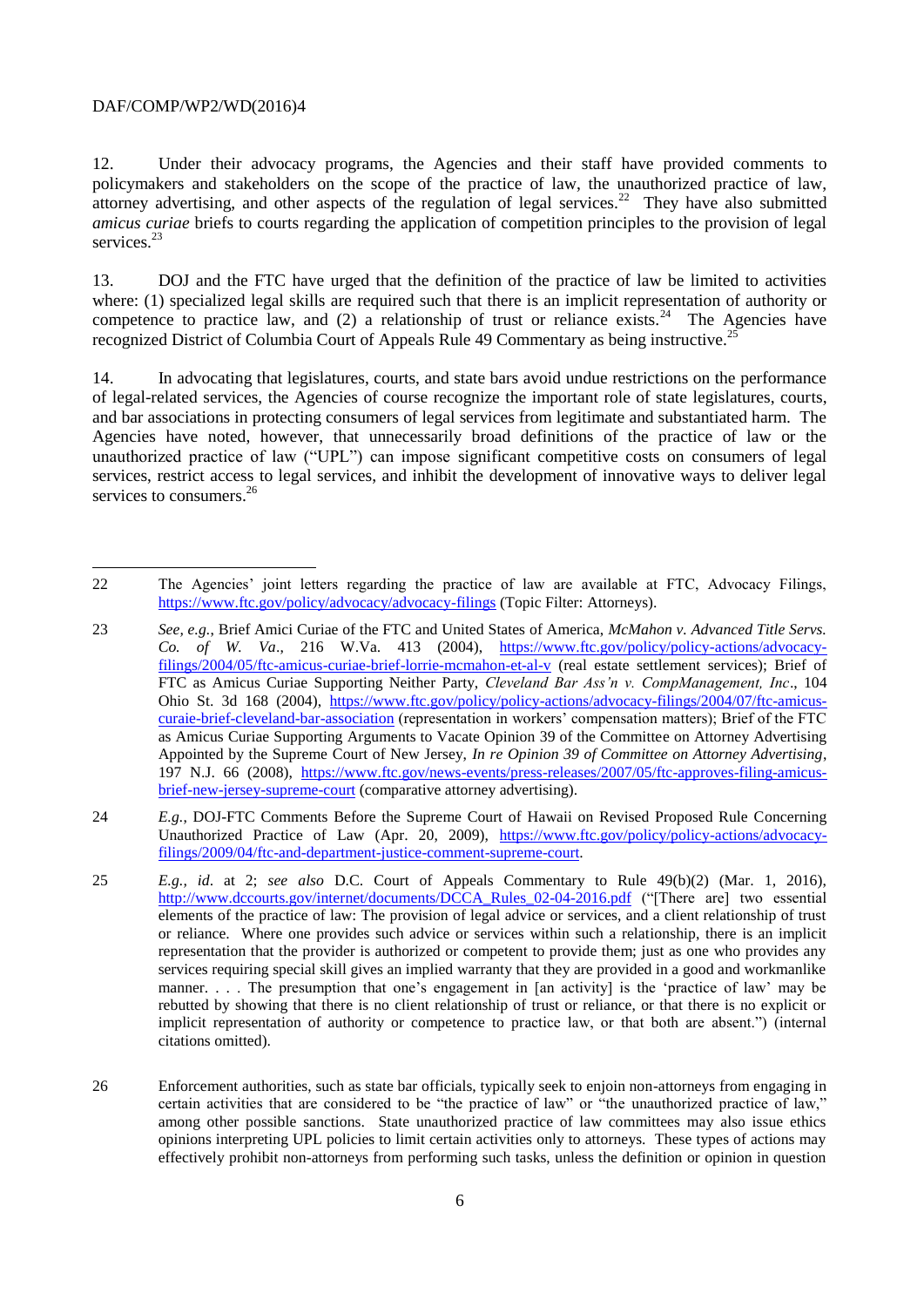l

12. Under their advocacy programs, the Agencies and their staff have provided comments to policymakers and stakeholders on the scope of the practice of law, the unauthorized practice of law, attorney advertising, and other aspects of the regulation of legal services.<sup>22</sup> They have also submitted *amicus curiae* briefs to courts regarding the application of competition principles to the provision of legal services.<sup>23</sup>

13. DOJ and the FTC have urged that the definition of the practice of law be limited to activities where: (1) specialized legal skills are required such that there is an implicit representation of authority or competence to practice law, and  $(2)$  a relationship of trust or reliance exists.<sup>24</sup> The Agencies have recognized District of Columbia Court of Appeals Rule 49 Commentary as being instructive.<sup>2</sup>

14. In advocating that legislatures, courts, and state bars avoid undue restrictions on the performance of legal-related services, the Agencies of course recognize the important role of state legislatures, courts, and bar associations in protecting consumers of legal services from legitimate and substantiated harm. The Agencies have noted, however, that unnecessarily broad definitions of the practice of law or the unauthorized practice of law ("UPL") can impose significant competitive costs on consumers of legal services, restrict access to legal services, and inhibit the development of innovative ways to deliver legal services to consumers.<sup>26</sup>

<sup>22</sup> The Agencies' joint letters regarding the practice of law are available at FTC, Advocacy Filings, <https://www.ftc.gov/policy/advocacy/advocacy-filings> (Topic Filter: Attorneys).

<sup>23</sup> *See, e.g.*, Brief Amici Curiae of the FTC and United States of America, *McMahon v. Advanced Title Servs. Co. of W. Va*., 216 W.Va. 413 (2004), [https://www.ftc.gov/policy/policy-actions/advocacy](https://www.ftc.gov/policy/policy-actions/advocacy-filings/2004/05/ftc-amicus-curiae-brief-lorrie-mcmahon-et-al-v)[filings/2004/05/ftc-amicus-curiae-brief-lorrie-mcmahon-et-al-v](https://www.ftc.gov/policy/policy-actions/advocacy-filings/2004/05/ftc-amicus-curiae-brief-lorrie-mcmahon-et-al-v) (real estate settlement services); Brief of FTC as Amicus Curiae Supporting Neither Party, *Cleveland Bar Ass'n v. CompManagement, Inc*., 104 Ohio St. 3d 168 (2004), [https://www.ftc.gov/policy/policy-actions/advocacy-filings/2004/07/ftc-amicus](https://www.ftc.gov/policy/policy-actions/advocacy-filings/2004/07/ftc-amicus-curaie-brief-cleveland-bar-association)[curaie-brief-cleveland-bar-association](https://www.ftc.gov/policy/policy-actions/advocacy-filings/2004/07/ftc-amicus-curaie-brief-cleveland-bar-association) (representation in workers' compensation matters); Brief of the FTC as Amicus Curiae Supporting Arguments to Vacate Opinion 39 of the Committee on Attorney Advertising Appointed by the Supreme Court of New Jersey, *In re Opinion 39 of Committee on Attorney Advertising*, 197 N.J. 66 (2008), [https://www.ftc.gov/news-events/press-releases/2007/05/ftc-approves-filing-amicus](https://www.ftc.gov/news-events/press-releases/2007/05/ftc-approves-filing-amicus-brief-new-jersey-supreme-court)[brief-new-jersey-supreme-court](https://www.ftc.gov/news-events/press-releases/2007/05/ftc-approves-filing-amicus-brief-new-jersey-supreme-court) (comparative attorney advertising).

<sup>24</sup> *E.g.*, DOJ-FTC Comments Before the Supreme Court of Hawaii on Revised Proposed Rule Concerning Unauthorized Practice of Law (Apr. 20, 2009), [https://www.ftc.gov/policy/policy-actions/advocacy](https://www.ftc.gov/policy/policy-actions/advocacy-filings/2009/04/ftc-and-department-justice-comment-supreme-court)[filings/2009/04/ftc-and-department-justice-comment-supreme-court.](https://www.ftc.gov/policy/policy-actions/advocacy-filings/2009/04/ftc-and-department-justice-comment-supreme-court)

<sup>25</sup> *E.g., id*. at 2; *see also* D.C. Court of Appeals Commentary to Rule 49(b)(2) (Mar. 1, 2016), [http://www.dccourts.gov/internet/documents/DCCA\\_Rules\\_02-04-2016.pdf](http://www.dccourts.gov/internet/documents/DCCA_Rules_02-04-2016.pdf) ("[There are] two essential elements of the practice of law: The provision of legal advice or services, and a client relationship of trust or reliance. Where one provides such advice or services within such a relationship, there is an implicit representation that the provider is authorized or competent to provide them; just as one who provides any services requiring special skill gives an implied warranty that they are provided in a good and workmanlike manner. . . . The presumption that one's engagement in [an activity] is the 'practice of law' may be rebutted by showing that there is no client relationship of trust or reliance, or that there is no explicit or implicit representation of authority or competence to practice law, or that both are absent.") (internal citations omitted).

<sup>26</sup> Enforcement authorities, such as state bar officials, typically seek to enjoin non-attorneys from engaging in certain activities that are considered to be "the practice of law" or "the unauthorized practice of law," among other possible sanctions. State unauthorized practice of law committees may also issue ethics opinions interpreting UPL policies to limit certain activities only to attorneys. These types of actions may effectively prohibit non-attorneys from performing such tasks, unless the definition or opinion in question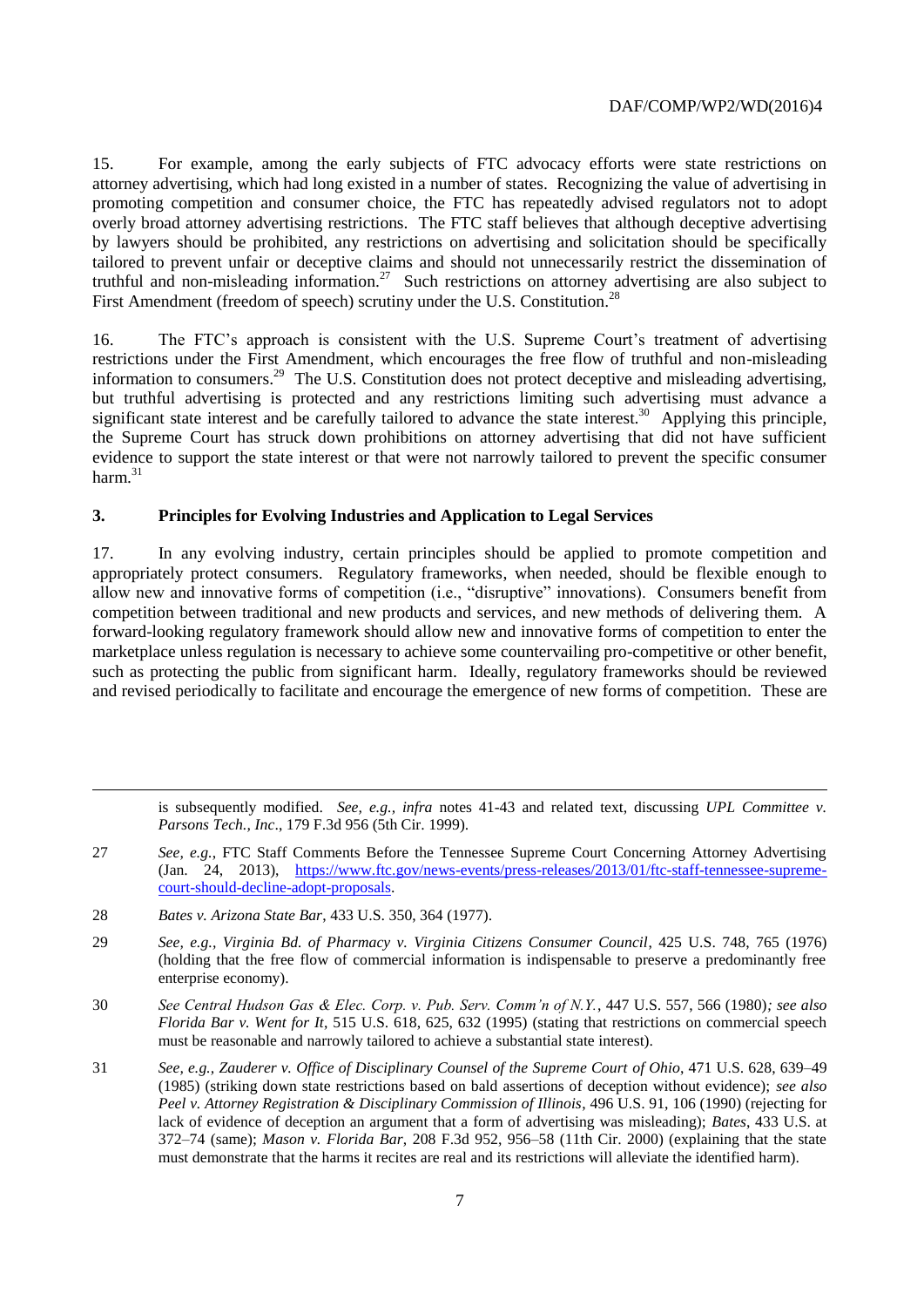15. For example, among the early subjects of FTC advocacy efforts were state restrictions on attorney advertising, which had long existed in a number of states. Recognizing the value of advertising in promoting competition and consumer choice, the FTC has repeatedly advised regulators not to adopt overly broad attorney advertising restrictions. The FTC staff believes that although deceptive advertising by lawyers should be prohibited, any restrictions on advertising and solicitation should be specifically tailored to prevent unfair or deceptive claims and should not unnecessarily restrict the dissemination of truthful and non-misleading information.<sup>27</sup> Such restrictions on attorney advertising are also subject to First Amendment (freedom of speech) scrutiny under the U.S. Constitution.<sup>28</sup>

16. The FTC's approach is consistent with the U.S. Supreme Court's treatment of advertising restrictions under the First Amendment, which encourages the free flow of truthful and non-misleading information to consumers.<sup>29</sup> The U.S. Constitution does not protect deceptive and misleading advertising, but truthful advertising is protected and any restrictions limiting such advertising must advance a significant state interest and be carefully tailored to advance the state interest.<sup>30</sup> Applying this principle, the Supreme Court has struck down prohibitions on attorney advertising that did not have sufficient evidence to support the state interest or that were not narrowly tailored to prevent the specific consumer harm. $31$ 

## **3. Principles for Evolving Industries and Application to Legal Services**

17. In any evolving industry, certain principles should be applied to promote competition and appropriately protect consumers. Regulatory frameworks, when needed, should be flexible enough to allow new and innovative forms of competition (i.e., "disruptive" innovations). Consumers benefit from competition between traditional and new products and services, and new methods of delivering them. A forward-looking regulatory framework should allow new and innovative forms of competition to enter the marketplace unless regulation is necessary to achieve some countervailing pro-competitive or other benefit, such as protecting the public from significant harm. Ideally, regulatory frameworks should be reviewed and revised periodically to facilitate and encourage the emergence of new forms of competition. These are

is subsequently modified. *See, e.g., infra* notes 41-43 and related text, discussing *UPL Committee v. Parsons Tech., Inc*., 179 F.3d 956 (5th Cir. 1999).

- 27 *See, e.g.*, FTC Staff Comments Before the Tennessee Supreme Court Concerning Attorney Advertising (Jan. 24, 2013), [https://www.ftc.gov/news-events/press-releases/2013/01/ftc-staff-tennessee-supreme](https://www.ftc.gov/news-events/press-releases/2013/01/ftc-staff-tennessee-supreme-court-should-decline-adopt-proposals)[court-should-decline-adopt-proposals.](https://www.ftc.gov/news-events/press-releases/2013/01/ftc-staff-tennessee-supreme-court-should-decline-adopt-proposals)
- 28 *Bates v. Arizona State Bar*, 433 U.S. 350, 364 (1977).

l

- 29 *See, e.g., Virginia Bd. of Pharmacy v. Virginia Citizens Consumer Council*, 425 U.S. 748, 765 (1976) (holding that the free flow of commercial information is indispensable to preserve a predominantly free enterprise economy).
- 30 *See Central Hudson Gas & Elec. Corp. v. Pub. Serv. Comm'n of N.Y.*, 447 U.S. 557, 566 (1980)*; see also Florida Bar v. Went for It*, 515 U.S. 618, 625, 632 (1995) (stating that restrictions on commercial speech must be reasonable and narrowly tailored to achieve a substantial state interest).
- 31 *See, e.g., Zauderer v. Office of Disciplinary Counsel of the Supreme Court of Ohio*, 471 U.S. 628, 639–49 (1985) (striking down state restrictions based on bald assertions of deception without evidence); *see also Peel v. Attorney Registration & Disciplinary Commission of Illinois*, 496 U.S. 91, 106 (1990) (rejecting for lack of evidence of deception an argument that a form of advertising was misleading); *Bates*, 433 U.S. at 372–74 (same); *Mason v. Florida Bar*, 208 F.3d 952, 956–58 (11th Cir. 2000) (explaining that the state must demonstrate that the harms it recites are real and its restrictions will alleviate the identified harm).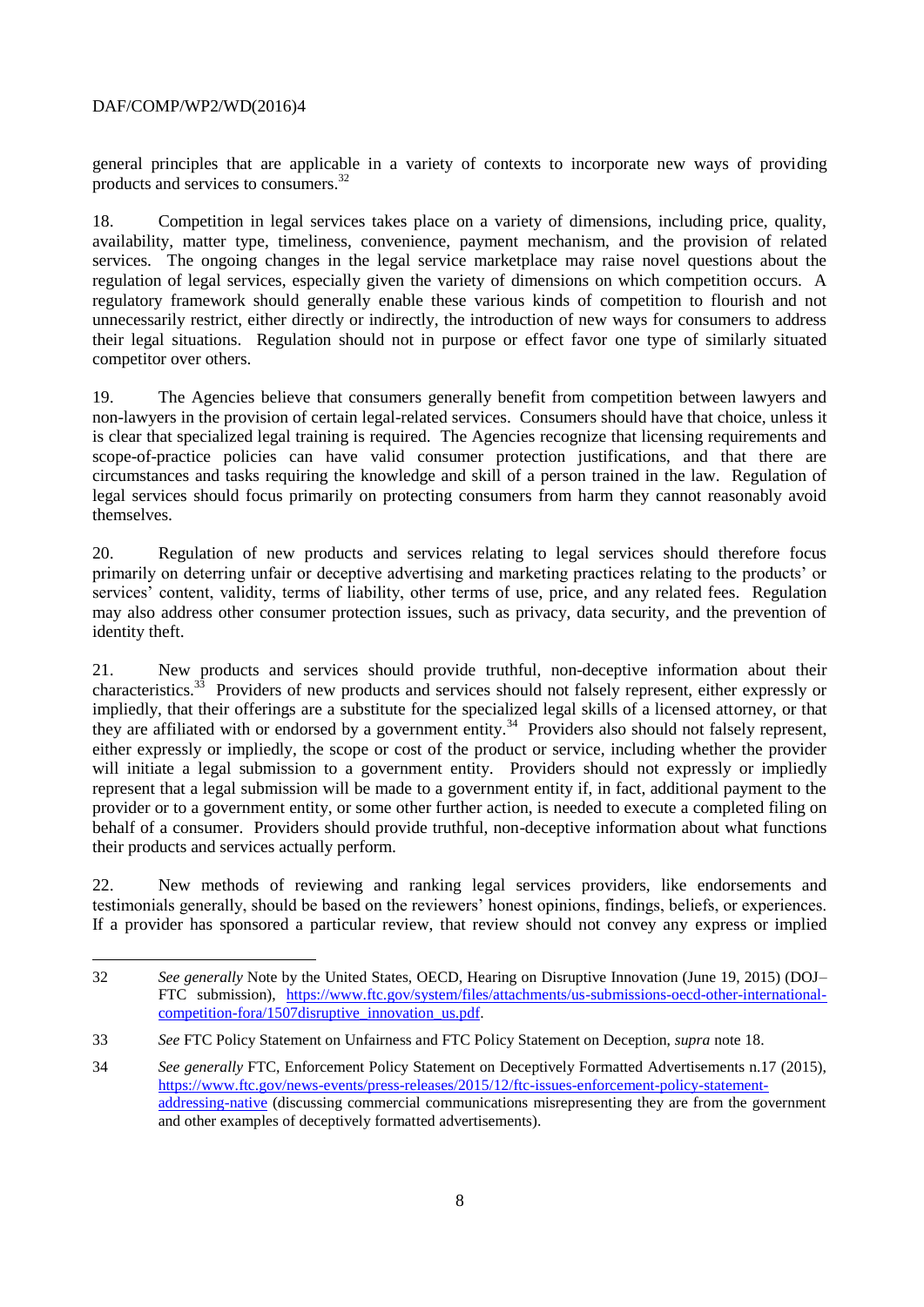l

general principles that are applicable in a variety of contexts to incorporate new ways of providing products and services to consumers.<sup>32</sup>

18. Competition in legal services takes place on a variety of dimensions, including price, quality, availability, matter type, timeliness, convenience, payment mechanism, and the provision of related services. The ongoing changes in the legal service marketplace may raise novel questions about the regulation of legal services, especially given the variety of dimensions on which competition occurs. A regulatory framework should generally enable these various kinds of competition to flourish and not unnecessarily restrict, either directly or indirectly, the introduction of new ways for consumers to address their legal situations. Regulation should not in purpose or effect favor one type of similarly situated competitor over others.

19. The Agencies believe that consumers generally benefit from competition between lawyers and non-lawyers in the provision of certain legal-related services. Consumers should have that choice, unless it is clear that specialized legal training is required. The Agencies recognize that licensing requirements and scope-of-practice policies can have valid consumer protection justifications, and that there are circumstances and tasks requiring the knowledge and skill of a person trained in the law. Regulation of legal services should focus primarily on protecting consumers from harm they cannot reasonably avoid themselves.

20. Regulation of new products and services relating to legal services should therefore focus primarily on deterring unfair or deceptive advertising and marketing practices relating to the products' or services' content, validity, terms of liability, other terms of use, price, and any related fees. Regulation may also address other consumer protection issues, such as privacy, data security, and the prevention of identity theft.

21. New products and services should provide truthful, non-deceptive information about their characteristics.<sup>33</sup> Providers of new products and services should not falsely represent, either expressly or impliedly, that their offerings are a substitute for the specialized legal skills of a licensed attorney, or that they are affiliated with or endorsed by a government entity.<sup>34</sup> Providers also should not falsely represent, either expressly or impliedly, the scope or cost of the product or service, including whether the provider will initiate a legal submission to a government entity. Providers should not expressly or impliedly represent that a legal submission will be made to a government entity if, in fact, additional payment to the provider or to a government entity, or some other further action, is needed to execute a completed filing on behalf of a consumer. Providers should provide truthful, non-deceptive information about what functions their products and services actually perform.

22. New methods of reviewing and ranking legal services providers, like endorsements and testimonials generally, should be based on the reviewers' honest opinions, findings, beliefs, or experiences. If a provider has sponsored a particular review, that review should not convey any express or implied

<sup>32</sup> *See generally* Note by the United States, OECD, Hearing on Disruptive Innovation (June 19, 2015) (DOJ– FTC submission), [https://www.ftc.gov/system/files/attachments/us-submissions-oecd-other-international](https://www.ftc.gov/system/files/attachments/us-submissions-oecd-other-international-competition-fora/1507disruptive_innovation_us.pdf)[competition-fora/1507disruptive\\_innovation\\_us.pdf.](https://www.ftc.gov/system/files/attachments/us-submissions-oecd-other-international-competition-fora/1507disruptive_innovation_us.pdf)

<sup>33</sup> *See* FTC Policy Statement on Unfairness and FTC Policy Statement on Deception, *supra* note 18.

<sup>34</sup> *See generally* FTC, Enforcement Policy Statement on Deceptively Formatted Advertisements n.17 (2015), [https://www.ftc.gov/news-events/press-releases/2015/12/ftc-issues-enforcement-policy-statement](https://www.ftc.gov/news-events/press-releases/2015/12/ftc-issues-enforcement-policy-statement-addressing-native)[addressing-native](https://www.ftc.gov/news-events/press-releases/2015/12/ftc-issues-enforcement-policy-statement-addressing-native) (discussing commercial communications misrepresenting they are from the government and other examples of deceptively formatted advertisements).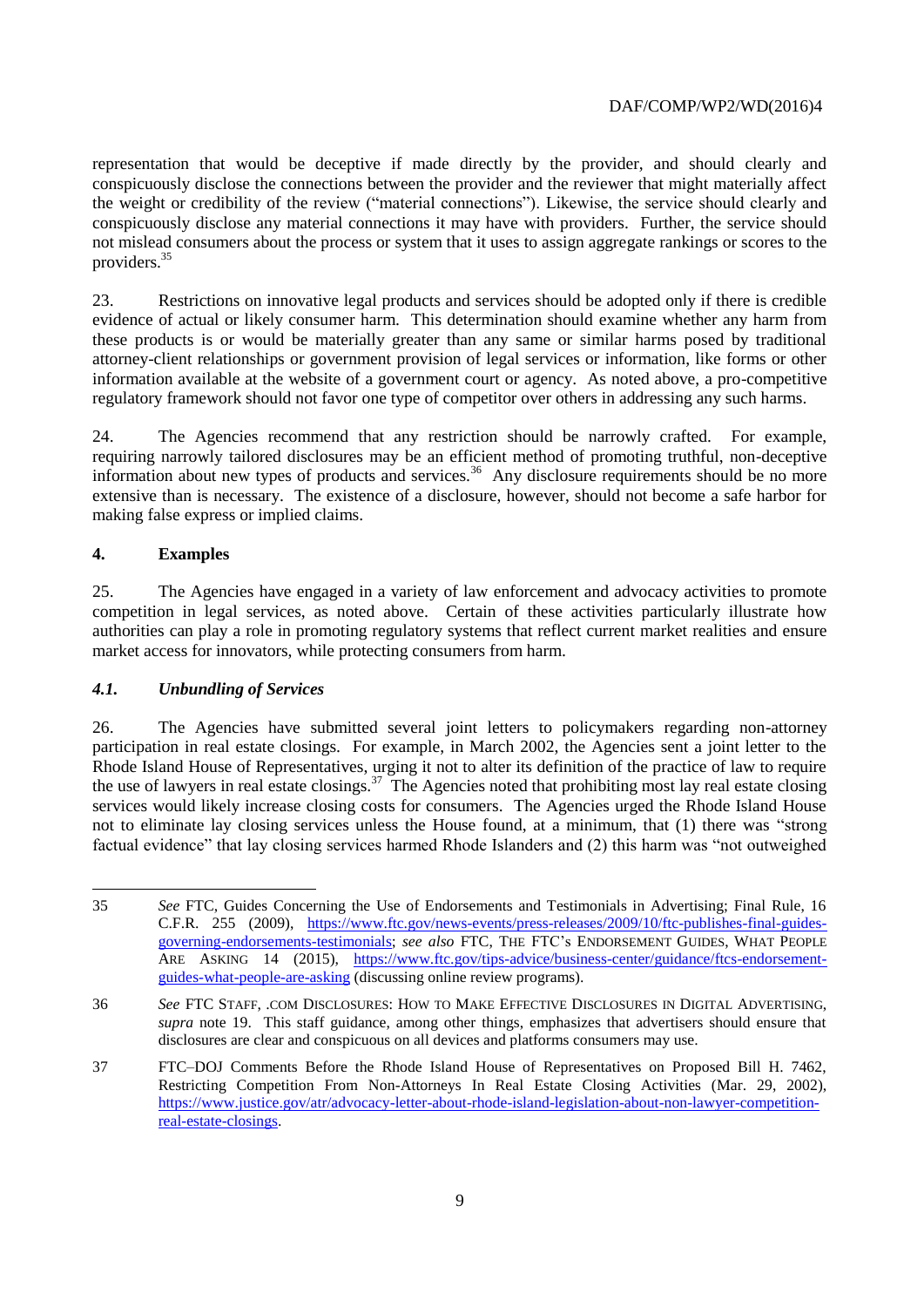representation that would be deceptive if made directly by the provider, and should clearly and conspicuously disclose the connections between the provider and the reviewer that might materially affect the weight or credibility of the review ("material connections"). Likewise, the service should clearly and conspicuously disclose any material connections it may have with providers. Further, the service should not mislead consumers about the process or system that it uses to assign aggregate rankings or scores to the providers.<sup>35</sup>

23. Restrictions on innovative legal products and services should be adopted only if there is credible evidence of actual or likely consumer harm. This determination should examine whether any harm from these products is or would be materially greater than any same or similar harms posed by traditional attorney-client relationships or government provision of legal services or information, like forms or other information available at the website of a government court or agency. As noted above, a pro-competitive regulatory framework should not favor one type of competitor over others in addressing any such harms.

24. The Agencies recommend that any restriction should be narrowly crafted. For example, requiring narrowly tailored disclosures may be an efficient method of promoting truthful, non-deceptive information about new types of products and services.<sup>36</sup> Any disclosure requirements should be no more extensive than is necessary. The existence of a disclosure, however, should not become a safe harbor for making false express or implied claims.

# **4. Examples**

 $\overline{a}$ 

25. The Agencies have engaged in a variety of law enforcement and advocacy activities to promote competition in legal services, as noted above. Certain of these activities particularly illustrate how authorities can play a role in promoting regulatory systems that reflect current market realities and ensure market access for innovators, while protecting consumers from harm.

# *4.1. Unbundling of Services*

26. The Agencies have submitted several joint letters to policymakers regarding non-attorney participation in real estate closings. For example, in March 2002, the Agencies sent a joint letter to the Rhode Island House of Representatives, urging it not to alter its definition of the practice of law to require the use of lawyers in real estate closings.<sup>37</sup> The Agencies noted that prohibiting most lay real estate closing services would likely increase closing costs for consumers. The Agencies urged the Rhode Island House not to eliminate lay closing services unless the House found, at a minimum, that (1) there was "strong factual evidence" that lay closing services harmed Rhode Islanders and (2) this harm was "not outweighed

<sup>35</sup> *See* FTC, Guides Concerning the Use of Endorsements and Testimonials in Advertising; Final Rule, 16 C.F.R. 255 (2009), [https://www.ftc.gov/news-events/press-releases/2009/10/ftc-publishes-final-guides](https://www.ftc.gov/news-events/press-releases/2009/10/ftc-publishes-final-guides-governing-endorsements-testimonials)[governing-endorsements-testimonials;](https://www.ftc.gov/news-events/press-releases/2009/10/ftc-publishes-final-guides-governing-endorsements-testimonials) *see also* FTC, THE FTC's ENDORSEMENT GUIDES, WHAT PEOPLE ARE ASKING 14 (2015), [https://www.ftc.gov/tips-advice/business-center/guidance/ftcs-endorsement](https://www.ftc.gov/tips-advice/business-center/guidance/ftcs-endorsement-guides-what-people-are-asking)[guides-what-people-are-asking](https://www.ftc.gov/tips-advice/business-center/guidance/ftcs-endorsement-guides-what-people-are-asking) (discussing online review programs).

<sup>36</sup> *See* FTC STAFF, .COM DISCLOSURES: HOW TO MAKE EFFECTIVE DISCLOSURES IN DIGITAL ADVERTISING, *supra* note 19. This staff guidance, among other things, emphasizes that advertisers should ensure that disclosures are clear and conspicuous on all devices and platforms consumers may use.

<sup>37</sup> FTC–DOJ Comments Before the Rhode Island House of Representatives on Proposed Bill H. 7462, Restricting Competition From Non-Attorneys In Real Estate Closing Activities (Mar. 29, 2002), [https://www.justice.gov/atr/advocacy-letter-about-rhode-island-legislation-about-non-lawyer-competition](https://www.justice.gov/atr/advocacy-letter-about-rhode-island-legislation-about-non-lawyer-competition-real-estate-closings)[real-estate-closings.](https://www.justice.gov/atr/advocacy-letter-about-rhode-island-legislation-about-non-lawyer-competition-real-estate-closings)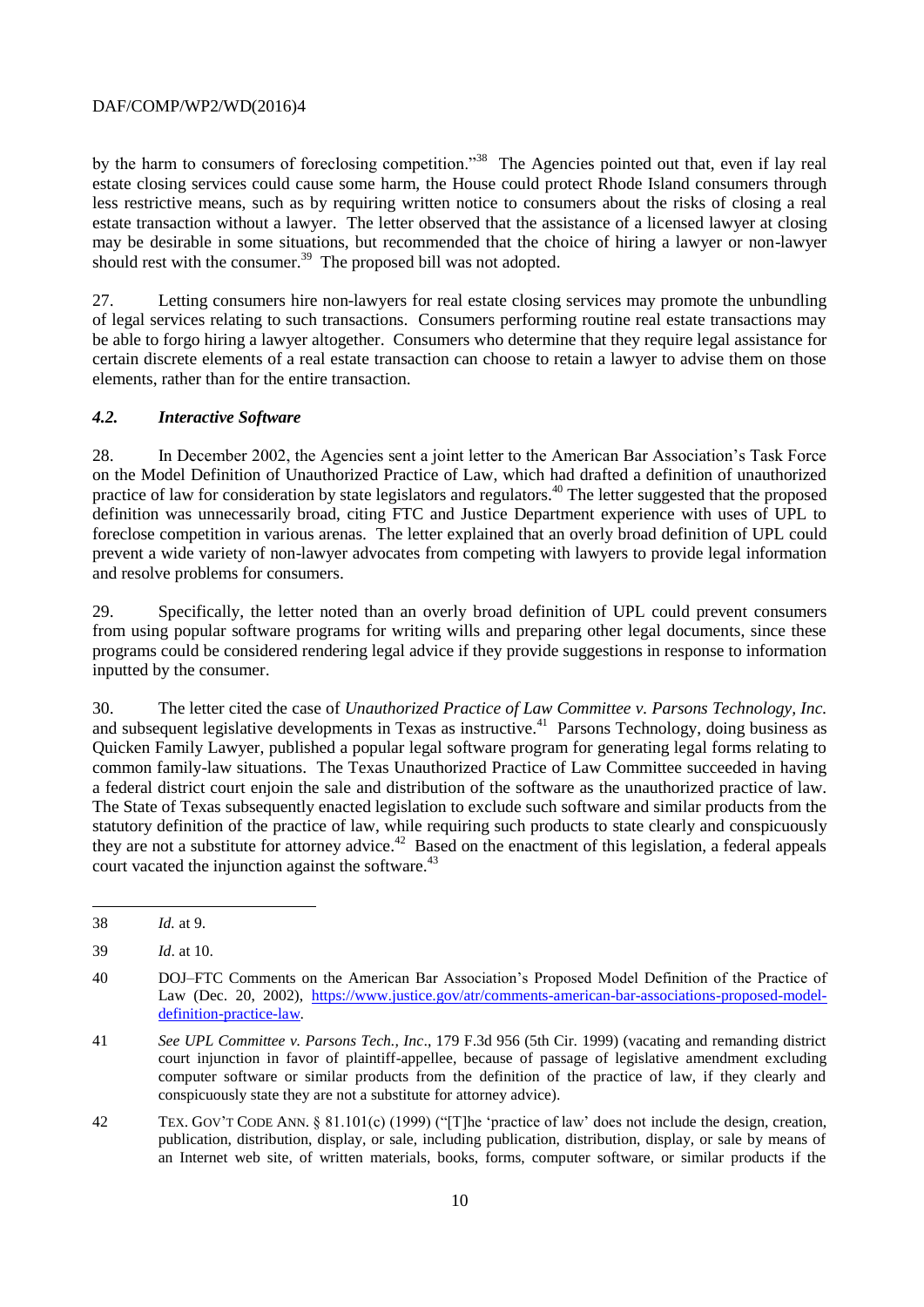by the harm to consumers of foreclosing competition."<sup>38</sup> The Agencies pointed out that, even if lay real estate closing services could cause some harm, the House could protect Rhode Island consumers through less restrictive means, such as by requiring written notice to consumers about the risks of closing a real estate transaction without a lawyer. The letter observed that the assistance of a licensed lawyer at closing may be desirable in some situations, but recommended that the choice of hiring a lawyer or non-lawyer should rest with the consumer. $39$  The proposed bill was not adopted.

27. Letting consumers hire non-lawyers for real estate closing services may promote the unbundling of legal services relating to such transactions. Consumers performing routine real estate transactions may be able to forgo hiring a lawyer altogether. Consumers who determine that they require legal assistance for certain discrete elements of a real estate transaction can choose to retain a lawyer to advise them on those elements, rather than for the entire transaction.

## *4.2. Interactive Software*

28. In December 2002, the Agencies sent a joint letter to the American Bar Association's Task Force on the Model Definition of Unauthorized Practice of Law, which had drafted a definition of unauthorized practice of law for consideration by state legislators and regulators.<sup>40</sup> The letter suggested that the proposed definition was unnecessarily broad, citing FTC and Justice Department experience with uses of UPL to foreclose competition in various arenas. The letter explained that an overly broad definition of UPL could prevent a wide variety of non-lawyer advocates from competing with lawyers to provide legal information and resolve problems for consumers.

29. Specifically, the letter noted than an overly broad definition of UPL could prevent consumers from using popular software programs for writing wills and preparing other legal documents, since these programs could be considered rendering legal advice if they provide suggestions in response to information inputted by the consumer.

30. The letter cited the case of *Unauthorized Practice of Law Committee v. Parsons Technology, Inc.* and subsequent legislative developments in Texas as instructive.<sup>41</sup> Parsons Technology, doing business as Quicken Family Lawyer, published a popular legal software program for generating legal forms relating to common family-law situations. The Texas Unauthorized Practice of Law Committee succeeded in having a federal district court enjoin the sale and distribution of the software as the unauthorized practice of law. The State of Texas subsequently enacted legislation to exclude such software and similar products from the statutory definition of the practice of law, while requiring such products to state clearly and conspicuously they are not a substitute for attorney advice.<sup>42</sup> Based on the enactment of this legislation, a federal appeals court vacated the injunction against the software.<sup>43</sup>

l

42 TEX. GOV'T CODE ANN. § 81.101(c) (1999) ("[T]he 'practice of law' does not include the design, creation, publication, distribution, display, or sale, including publication, distribution, display, or sale by means of an Internet web site, of written materials, books, forms, computer software, or similar products if the

<sup>38</sup> *Id.* at 9.

<sup>39</sup> *Id*. at 10.

<sup>40</sup> DOJ–FTC Comments on the American Bar Association's Proposed Model Definition of the Practice of Law (Dec. 20, 2002), [https://www.justice.gov/atr/comments-american-bar-associations-proposed-model](https://www.justice.gov/atr/comments-american-bar-associations-proposed-model-definition-practice-law)[definition-practice-law.](https://www.justice.gov/atr/comments-american-bar-associations-proposed-model-definition-practice-law)

<sup>41</sup> *See UPL Committee v. Parsons Tech., Inc*., 179 F.3d 956 (5th Cir. 1999) (vacating and remanding district court injunction in favor of plaintiff-appellee, because of passage of legislative amendment excluding computer software or similar products from the definition of the practice of law, if they clearly and conspicuously state they are not a substitute for attorney advice).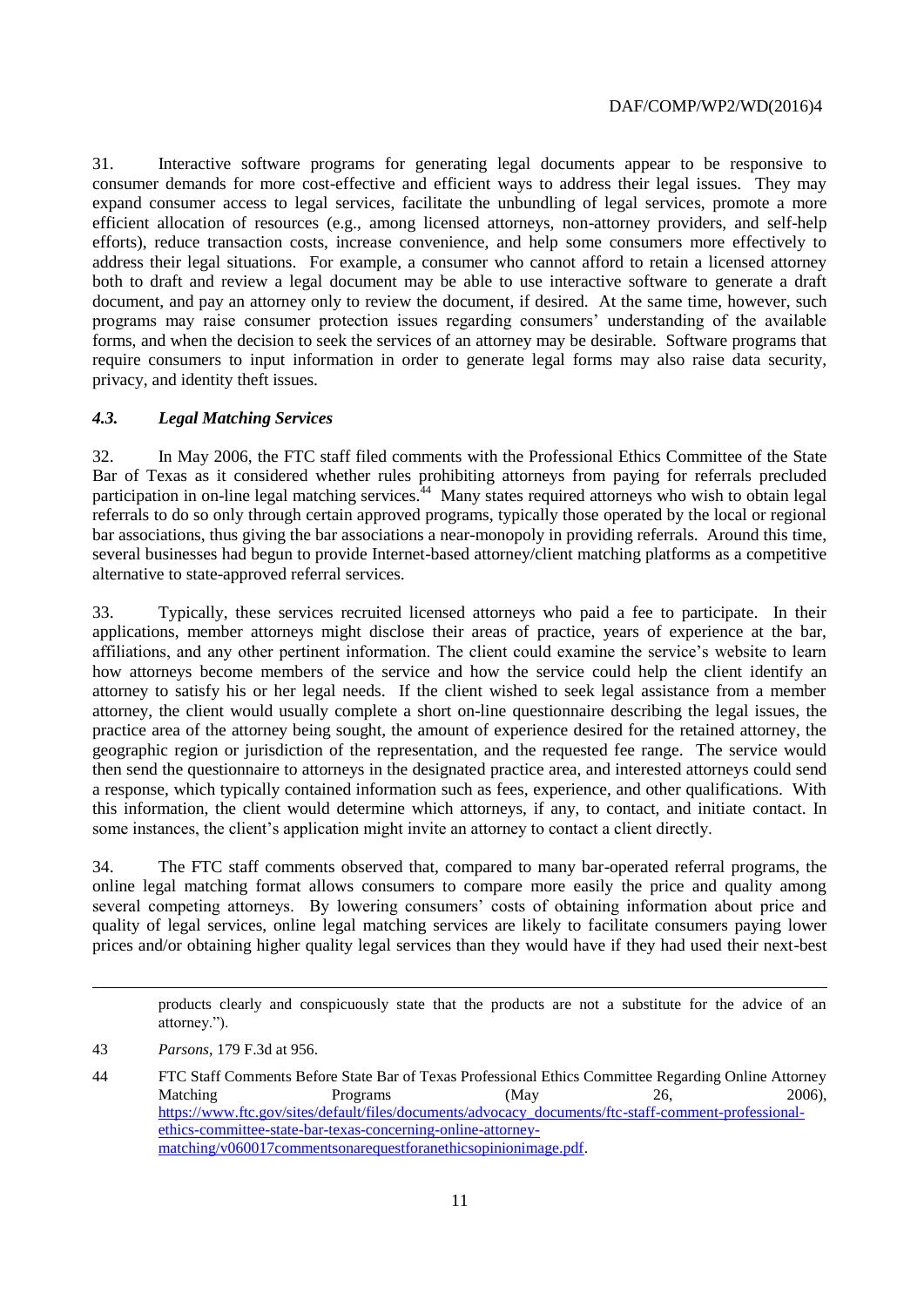31. Interactive software programs for generating legal documents appear to be responsive to consumer demands for more cost-effective and efficient ways to address their legal issues. They may expand consumer access to legal services, facilitate the unbundling of legal services, promote a more efficient allocation of resources (e.g., among licensed attorneys, non-attorney providers, and self-help efforts), reduce transaction costs, increase convenience, and help some consumers more effectively to address their legal situations. For example, a consumer who cannot afford to retain a licensed attorney both to draft and review a legal document may be able to use interactive software to generate a draft document, and pay an attorney only to review the document, if desired. At the same time, however, such programs may raise consumer protection issues regarding consumers' understanding of the available forms, and when the decision to seek the services of an attorney may be desirable. Software programs that require consumers to input information in order to generate legal forms may also raise data security, privacy, and identity theft issues.

#### *4.3. Legal Matching Services*

32. In May 2006, the FTC staff filed comments with the Professional Ethics Committee of the State Bar of Texas as it considered whether rules prohibiting attorneys from paying for referrals precluded participation in on-line legal matching services.<sup>44</sup> Many states required attorneys who wish to obtain legal referrals to do so only through certain approved programs, typically those operated by the local or regional bar associations, thus giving the bar associations a near-monopoly in providing referrals. Around this time, several businesses had begun to provide Internet-based attorney/client matching platforms as a competitive alternative to state-approved referral services.

33. Typically, these services recruited licensed attorneys who paid a fee to participate. In their applications, member attorneys might disclose their areas of practice, years of experience at the bar, affiliations, and any other pertinent information. The client could examine the service's website to learn how attorneys become members of the service and how the service could help the client identify an attorney to satisfy his or her legal needs. If the client wished to seek legal assistance from a member attorney, the client would usually complete a short on-line questionnaire describing the legal issues, the practice area of the attorney being sought, the amount of experience desired for the retained attorney, the geographic region or jurisdiction of the representation, and the requested fee range. The service would then send the questionnaire to attorneys in the designated practice area, and interested attorneys could send a response, which typically contained information such as fees, experience, and other qualifications. With this information, the client would determine which attorneys, if any, to contact, and initiate contact. In some instances, the client's application might invite an attorney to contact a client directly.

34. The FTC staff comments observed that, compared to many bar-operated referral programs, the online legal matching format allows consumers to compare more easily the price and quality among several competing attorneys. By lowering consumers' costs of obtaining information about price and quality of legal services, online legal matching services are likely to facilitate consumers paying lower prices and/or obtaining higher quality legal services than they would have if they had used their next-best

products clearly and conspicuously state that the products are not a substitute for the advice of an attorney.").

 $\overline{a}$ 

<sup>43</sup> *Parsons*, 179 F.3d at 956.

<sup>44</sup> FTC Staff Comments Before State Bar of Texas Professional Ethics Committee Regarding Online Attorney Matching Programs (May 26, 2006), [https://www.ftc.gov/sites/default/files/documents/advocacy\\_documents/ftc-staff-comment-professional](https://www.ftc.gov/sites/default/files/documents/advocacy_documents/ftc-staff-comment-professional-ethics-committee-state-bar-texas-concerning-online-attorney-matching/v060017commentsonarequestforanethicsopinionimage.pdf)[ethics-committee-state-bar-texas-concerning-online-attorney](https://www.ftc.gov/sites/default/files/documents/advocacy_documents/ftc-staff-comment-professional-ethics-committee-state-bar-texas-concerning-online-attorney-matching/v060017commentsonarequestforanethicsopinionimage.pdf)[matching/v060017commentsonarequestforanethicsopinionimage.pdf.](https://www.ftc.gov/sites/default/files/documents/advocacy_documents/ftc-staff-comment-professional-ethics-committee-state-bar-texas-concerning-online-attorney-matching/v060017commentsonarequestforanethicsopinionimage.pdf)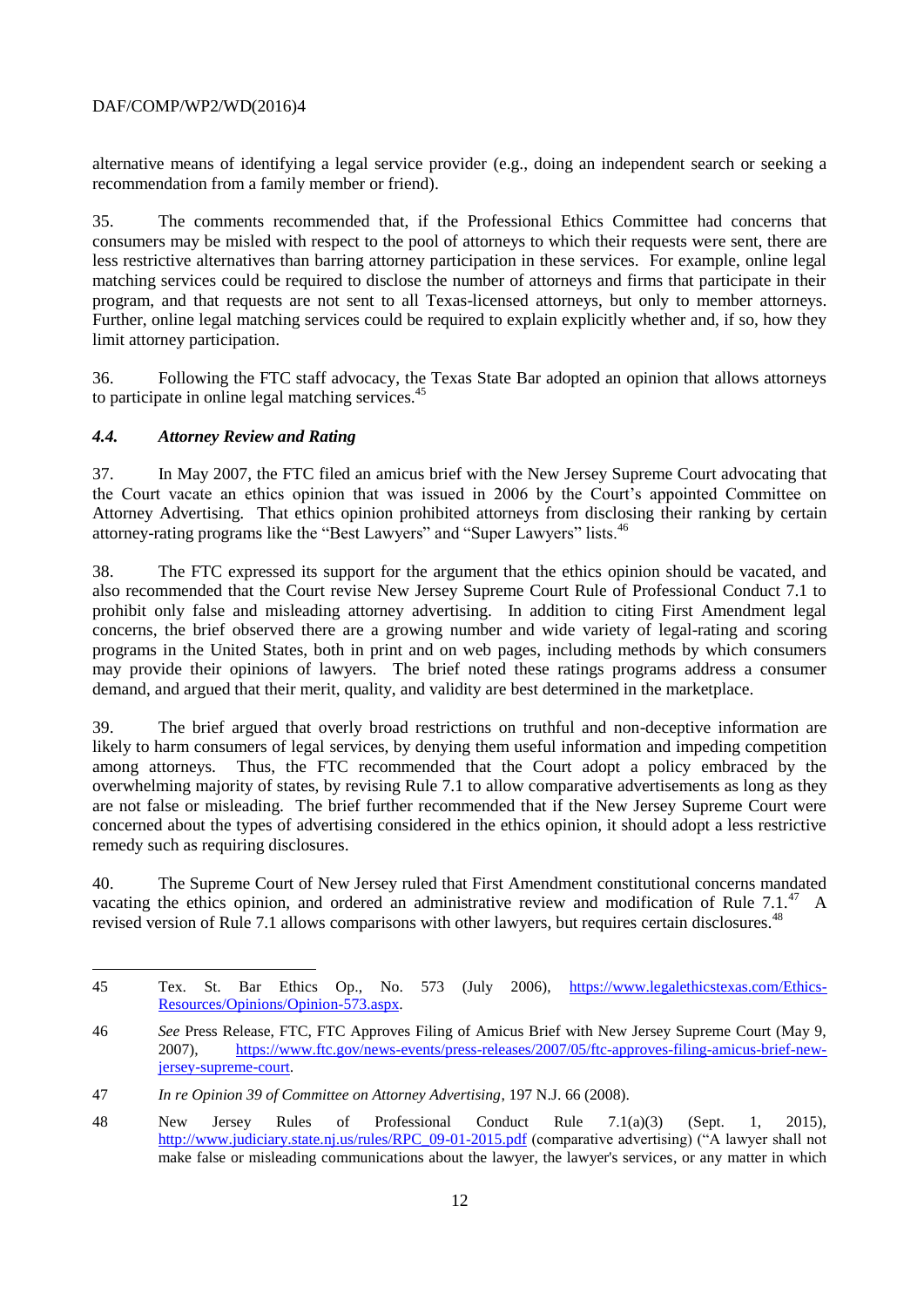alternative means of identifying a legal service provider (e.g., doing an independent search or seeking a recommendation from a family member or friend).

35. The comments recommended that, if the Professional Ethics Committee had concerns that consumers may be misled with respect to the pool of attorneys to which their requests were sent, there are less restrictive alternatives than barring attorney participation in these services. For example, online legal matching services could be required to disclose the number of attorneys and firms that participate in their program, and that requests are not sent to all Texas-licensed attorneys, but only to member attorneys. Further, online legal matching services could be required to explain explicitly whether and, if so, how they limit attorney participation.

36. Following the FTC staff advocacy, the Texas State Bar adopted an opinion that allows attorneys to participate in online legal matching services.<sup>45</sup>

## *4.4. Attorney Review and Rating*

l

37. In May 2007, the FTC filed an amicus brief with the New Jersey Supreme Court advocating that the Court vacate an ethics opinion that was issued in 2006 by the Court's appointed Committee on Attorney Advertising. That ethics opinion prohibited attorneys from disclosing their ranking by certain attorney-rating programs like the "Best Lawyers" and "Super Lawyers" lists.<sup>46</sup>

38. The FTC expressed its support for the argument that the ethics opinion should be vacated, and also recommended that the Court revise New Jersey Supreme Court Rule of Professional Conduct 7.1 to prohibit only false and misleading attorney advertising. In addition to citing First Amendment legal concerns, the brief observed there are a growing number and wide variety of legal-rating and scoring programs in the United States, both in print and on web pages, including methods by which consumers may provide their opinions of lawyers. The brief noted these ratings programs address a consumer demand, and argued that their merit, quality, and validity are best determined in the marketplace.

39. The brief argued that overly broad restrictions on truthful and non-deceptive information are likely to harm consumers of legal services, by denying them useful information and impeding competition among attorneys. Thus, the FTC recommended that the Court adopt a policy embraced by the overwhelming majority of states, by revising Rule 7.1 to allow comparative advertisements as long as they are not false or misleading. The brief further recommended that if the New Jersey Supreme Court were concerned about the types of advertising considered in the ethics opinion, it should adopt a less restrictive remedy such as requiring disclosures.

40. The Supreme Court of New Jersey ruled that First Amendment constitutional concerns mandated vacating the ethics opinion, and ordered an administrative review and modification of Rule  $7.1^{47}$  A revised version of Rule 7.1 allows comparisons with other lawyers, but requires certain disclosures.<sup>48</sup>

<sup>45</sup> Tex. St. Bar Ethics Op., No. 573 (July 2006), [https://www.legalethicstexas.com/Ethics-](https://www.legalethicstexas.com/Ethics-Resources/Opinions/Opinion-573.aspx)[Resources/Opinions/Opinion-573.aspx.](https://www.legalethicstexas.com/Ethics-Resources/Opinions/Opinion-573.aspx)

<sup>46</sup> *See* Press Release, FTC, FTC Approves Filing of Amicus Brief with New Jersey Supreme Court (May 9, 2007), [https://www.ftc.gov/news-events/press-releases/2007/05/ftc-approves-filing-amicus-brief-new](https://www.ftc.gov/news-events/press-releases/2007/05/ftc-approves-filing-amicus-brief-new-jersey-supreme-court)[jersey-supreme-court.](https://www.ftc.gov/news-events/press-releases/2007/05/ftc-approves-filing-amicus-brief-new-jersey-supreme-court)

<sup>47</sup> *In re Opinion 39 of Committee on Attorney Advertising*, 197 N.J. 66 (2008).

<sup>48</sup> New Jersey Rules of Professional Conduct Rule 7.1(a)(3) (Sept. 1, 2015), [http://www.judiciary.state.nj.us/rules/RPC\\_09-01-2015.pdf](http://www.judiciary.state.nj.us/rules/RPC_09-01-2015.pdf) (comparative advertising) ("A lawyer shall not make false or misleading communications about the lawyer, the lawyer's services, or any matter in which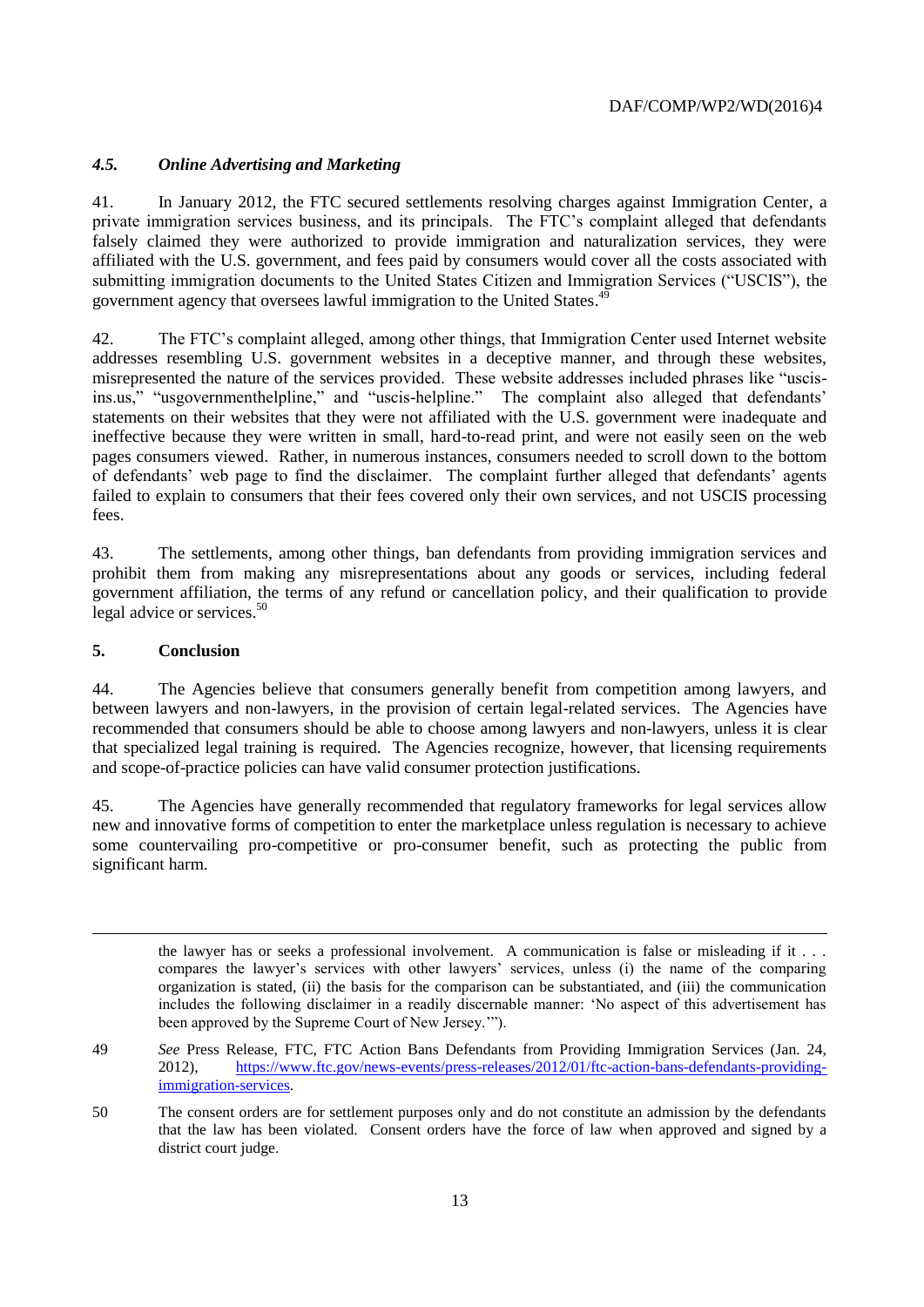# *4.5. Online Advertising and Marketing*

41. In January 2012, the FTC secured settlements resolving charges against Immigration Center, a private immigration services business, and its principals. The FTC's complaint alleged that defendants falsely claimed they were authorized to provide immigration and naturalization services, they were affiliated with the U.S. government, and fees paid by consumers would cover all the costs associated with submitting immigration documents to the United States Citizen and Immigration Services ("USCIS"), the government agency that oversees lawful immigration to the United States.<sup>49</sup>

42. The FTC's complaint alleged, among other things, that Immigration Center used Internet website addresses resembling U.S. government websites in a deceptive manner, and through these websites, misrepresented the nature of the services provided. These website addresses included phrases like "uscisins.us," "usgovernmenthelpline," and "uscis-helpline." The complaint also alleged that defendants' statements on their websites that they were not affiliated with the U.S. government were inadequate and ineffective because they were written in small, hard-to-read print, and were not easily seen on the web pages consumers viewed. Rather, in numerous instances, consumers needed to scroll down to the bottom of defendants' web page to find the disclaimer. The complaint further alleged that defendants' agents failed to explain to consumers that their fees covered only their own services, and not USCIS processing fees.

43. The settlements, among other things, ban defendants from providing immigration services and prohibit them from making any misrepresentations about any goods or services, including federal government affiliation, the terms of any refund or cancellation policy, and their qualification to provide legal advice or services.<sup>50</sup>

#### **5. Conclusion**

l

44. The Agencies believe that consumers generally benefit from competition among lawyers, and between lawyers and non-lawyers, in the provision of certain legal-related services. The Agencies have recommended that consumers should be able to choose among lawyers and non-lawyers, unless it is clear that specialized legal training is required. The Agencies recognize, however, that licensing requirements and scope-of-practice policies can have valid consumer protection justifications.

45. The Agencies have generally recommended that regulatory frameworks for legal services allow new and innovative forms of competition to enter the marketplace unless regulation is necessary to achieve some countervailing pro-competitive or pro-consumer benefit, such as protecting the public from significant harm.

the lawyer has or seeks a professional involvement. A communication is false or misleading if it . . . compares the lawyer's services with other lawyers' services, unless (i) the name of the comparing organization is stated, (ii) the basis for the comparison can be substantiated, and (iii) the communication includes the following disclaimer in a readily discernable manner: 'No aspect of this advertisement has been approved by the Supreme Court of New Jersey.'").

<sup>49</sup> *See* Press Release, FTC, FTC Action Bans Defendants from Providing Immigration Services (Jan. 24, 2012), [https://www.ftc.gov/news-events/press-releases/2012/01/ftc-action-bans-defendants-providing](https://www.ftc.gov/news-events/press-releases/2012/01/ftc-action-bans-defendants-providing-immigration-services)[immigration-services.](https://www.ftc.gov/news-events/press-releases/2012/01/ftc-action-bans-defendants-providing-immigration-services)

<sup>50</sup> The consent orders are for settlement purposes only and do not constitute an admission by the defendants that the law has been violated. Consent orders have the force of law when approved and signed by a district court judge.